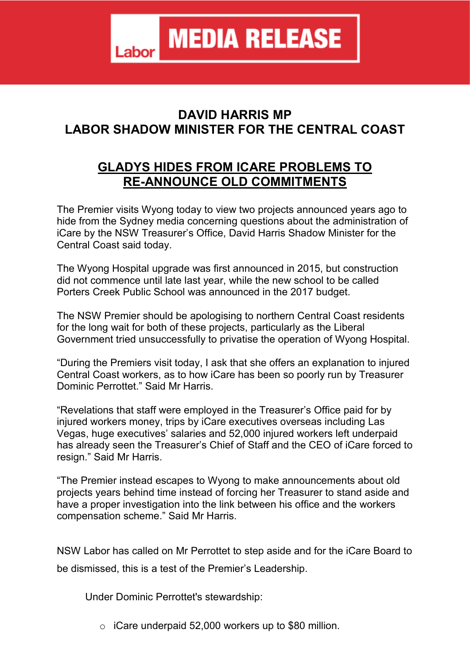**MEDIA RELEASE** Labor

## **DAVID HARRIS MP LABOR SHADOW MINISTER FOR THE CENTRAL COAST**

## **GLADYS HIDES FROM ICARE PROBLEMS TO RE-ANNOUNCE OLD COMMITMENTS**

The Premier visits Wyong today to view two projects announced years ago to hide from the Sydney media concerning questions about the administration of iCare by the NSW Treasurer's Office, David Harris Shadow Minister for the Central Coast said today.

The Wyong Hospital upgrade was first announced in 2015, but construction did not commence until late last year, while the new school to be called Porters Creek Public School was announced in the 2017 budget.

The NSW Premier should be apologising to northern Central Coast residents for the long wait for both of these projects, particularly as the Liberal Government tried unsuccessfully to privatise the operation of Wyong Hospital.

"During the Premiers visit today, I ask that she offers an explanation to injured Central Coast workers, as to how iCare has been so poorly run by Treasurer Dominic Perrottet." Said Mr Harris.

"Revelations that staff were employed in the Treasurer's Office paid for by injured workers money, trips by iCare executives overseas including Las Vegas, huge executives' salaries and 52,000 injured workers left underpaid has already seen the Treasurer's Chief of Staff and the CEO of iCare forced to resign." Said Mr Harris.

"The Premier instead escapes to Wyong to make announcements about old projects years behind time instead of forcing her Treasurer to stand aside and have a proper investigation into the link between his office and the workers compensation scheme." Said Mr Harris.

NSW Labor has called on Mr Perrottet to step aside and for the iCare Board to be dismissed, this is a test of the Premier's Leadership.

Under Dominic Perrottet's stewardship:

o iCare underpaid 52,000 workers up to \$80 million.